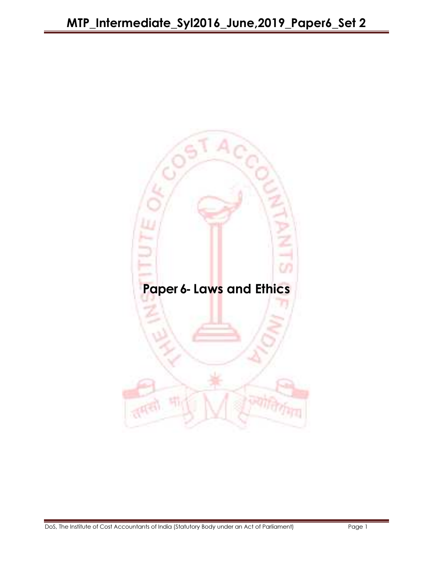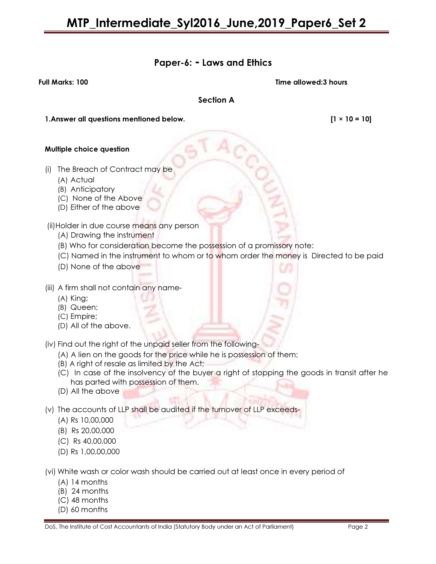## Paper-6: - Laws and Ethics

Full Marks: 100 Time allowed:3 hours

Section A

1.Answer all questions mentioned below. [1 × 10 = 10]

#### Multiple choice question

- (i) The Breach of Contract may be
	- (A) Actual
	- (B) Anticipatory
	- (C) None of the Above
	- (D) Either of the above

(ii)Holder in due course means any person

- (A) Drawing the instrument
- (B) Who for consideration become the possession of a promissory note:
- (C) Named in the instrument to whom or to whom order the money is Directed to be paid
- (D) None of the above
- (iii) A firm shall not contain any name-
	- (A) King;
	- (B) Queen;
	- (C) Empire;
	- (D) All of the above.

(iv) Find out the right of the unpaid seller from the following-

- (A) A lien on the goods for the price while he is possession of them;
- (B) A right of resale as limited by the Act;
- (C) In case of the insolvency of the buyer a right of stopping the goods in transit after he has parted with possession of them.
- (D) All the above
- (v) The accounts of LLP shall be audited if the turnover of LLP exceeds-
	- (A) Rs 10,00,000
	- (B) Rs 20,00,000
	- (C) Rs 40,00,000
	- (D) Rs 1,00,00,000

(vi) White wash or color wash should be carried out at least once in every period of

- (A) 14 months
- (B) 24 months
- (C) 48 months
- (D) 60 months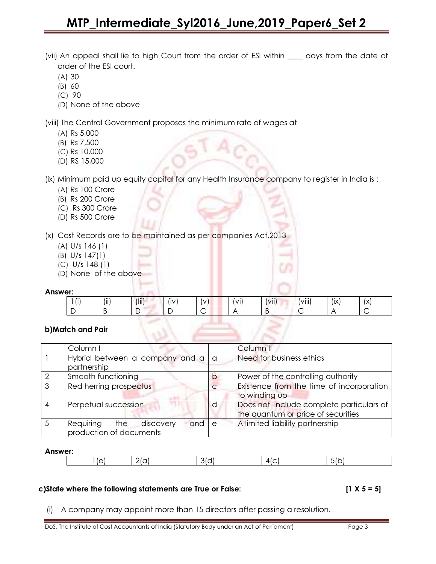- (vii) An appeal shall lie to high Court from the order of ESI within \_\_\_\_ days from the date of order of the ESI court.
	- (A) 30
	- (B) 60
	- (C) 90
	- (D) None of the above

(viii) The Central Government proposes the minimum rate of wages at

- (A) Rs 5,000
- (B) Rs 7,500
- (C) Rs 10,000
- (D) RS 15,000

(ix) Minimum paid up equity capital for any Health Insurance company to register in India is :

- (A) Rs 100 Crore
- (B) Rs 200 Crore
- (C) Rs 300 Crore
- (D) Rs 500 Crore

(x) Cost Records are to be maintained as per companies Act,2013

- (A) U/s 146 (1)
- (B) U/s 147(1)
- (C) U/s 148 (1)
- (D) None of the above

#### Answer:

| ---      |                |                    |          |   |              |                   |                   |                |                   |
|----------|----------------|--------------------|----------|---|--------------|-------------------|-------------------|----------------|-------------------|
| $\cdots$ | $\cdots$<br>ΙI | $(\overline{iii})$ | <br>l IV |   | $\mathsf{M}$ | $\cdots$<br>(VII. | $\cdots$<br>VIII) | $\cdot$<br>(IX | $\sqrt{}$<br>، ۸۱ |
|          |                | ັ                  |          | ∽ |              |                   |                   |                |                   |

## b)Match and Pair

| Column I                                                      |                | Column <sub>II</sub>                                                           |
|---------------------------------------------------------------|----------------|--------------------------------------------------------------------------------|
| Hybrid between a company and a a<br>partnership               |                | Need for business ethics                                                       |
| Smooth functioning                                            | $\circ$        | Power of the controlling authority                                             |
| Red herring prospectus                                        | $\overline{C}$ | Existence from the time of incorporation<br>to winding up                      |
| Perpetual succession                                          | <sub>d</sub>   | Does not include complete particulars of<br>the quantum or price of securities |
| Requiring the discovery<br>$and$ e<br>production of documents |                | A limited liability partnership                                                |

#### Answer:

| <br>- |  |  |  |  |  |  |
|-------|--|--|--|--|--|--|
|-------|--|--|--|--|--|--|

#### c)State where the following statements are True or False: [1 X 5 = 5]

(i) A company may appoint more than 15 directors after passing a resolution.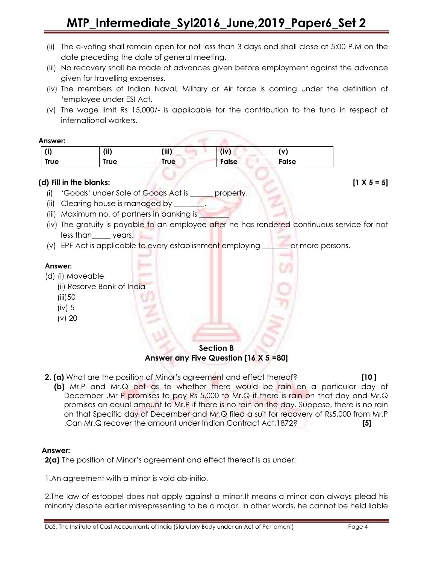- (ii) The e-voting shall remain open for not less than 3 days and shall close at 5:00 P.M on the date preceding the date of general meeting.
- (iii) No recovery shall be made of advances given before employment against the advance given for travelling expenses.
- (iv) The members of Indian Naval, Military or Air force is coming under the definition of 'employee under ESI Act.
- (v) The wage limit Rs 15,000/- is applicable for the contribution to the fund in respect of international workers.

#### Answer:

| (i)         | (iii) | (iii) | (iv)  | (v)   |
|-------------|-------|-------|-------|-------|
| <b>True</b> | True  | True  | False | False |

## (d) Fill in the blanks:  $[1 \times 5 = 5]$

(i) 'Goods' under Sale of Goods Act is \_\_\_\_\_\_ property.

(ii) Clearing house is managed by \_

- (iii) Maximum no. of partners in banking is
- (iv) The gratuity is payable to an employee after he has rendered continuous service for not less than\_\_\_\_\_ years.
- (v) EPF Act is applicable to every establishment employing \_\_\_\_\_\_\_ or more persons.

## Answer:

- (d) (i) Moveable
	- (ii) Reserve Bank of India
	- (iii)50
	- (iv) 5
	- (v) 20

Section B

Answer any Five Question [16 X 5 =80]

**2. (a)** What are the position of Minor's agreement and effect thereof? **[10 ]** 

 (b) Mr.P and Mr.Q bet as to whether there would be rain on a particular day of December .Mr P promises to pay Rs 5,000 to Mr.Q if there is rain on that day and Mr.Q promises an equal amount to Mr.P if there is no rain on the day. Suppose, there is no rain on that Specific day of December and Mr.Q filed a suit for recovery of Rs5,000 from Mr.P .Can Mr.Q recover the amount under Indian Contract Act,1872? [5]

## Answer:

2(a) The position of Minor's agreement and effect thereof is as under:

1.An agreement with a minor is void ab-initio.

2.The law of estoppel does not apply against a minor.It means a minor can always plead his minority despite earlier misrepresenting to be a major. In other words, he cannot be held liable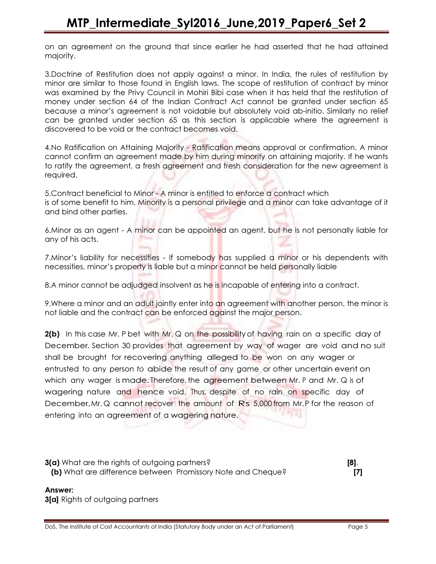on an agreement on the ground that since earlier he had asserted that he had attained majority.

3.Doctrine of Restitution does not apply against a minor. In India, the rules of restitution by minor are similar to those found in English laws. The scope of restitution of contract by minor was examined by the Privy Council in Mohiri Bibi case when it has held that the restitution of money under section 64 of the Indian Contract Act cannot be granted under section 65 because a minor's agreement is not voidable but absolutely void ab-initio. Similarly no relief can be granted under section 65 as this section is applicable where the agreement is discovered to be void or the contract becomes void.

4.No Ratification on Attaining Majority - Ratification means approval or confirmation. A minor cannot confirm an agreement made by him during minority on attaining majority. If he wants to ratify the agreement, a fresh agreement and fresh consideration for the new agreement is required.

5.Contract beneficial to Minor - A minor is entitled to enforce a contract which is of some benefit to him. Minority is a personal privilege and a minor can take advantage of it and bind other parties.

6.Minor as an agent - A minor can be appointed an agent, but he is not personally liable for any of his acts.

7.Minor's liability for necessities - If somebody has supplied a minor or his dependents with necessities, minor's property is liable but a minor cannot be held personally liable

8.A minor cannot be adjudged insolvent as he is incapable of entering into a contract.

9.Where a minor and an adult jointly enter into an agreement with another person, the minor is not liable and the contract can be enforced against the major person.

2(b) In this case Mr. P bet with Mr. Q on the possibility of having rain on a specific day of December. Section 30 provides that agreement by way of wager are void and no suit shall be brought for recovering anything alleged to be won on any wager or entrusted to any person to abide the result of any game or other uncertain event on which any wager is made. Therefore, the agreement between Mr. P and Mr. Q is of wagering nature and hence void. Thus, despite of no rain on specific day of December, Mr. Q cannot recover the amount of Rs 5,000 from Mr. P for the reason of entering into an agreement of a wagering nature.

**3(a)** What are the rights of outgoing partners? **[8]. [8].** (b) What are difference between Promissory Note and Cheque? [7]

#### Answer:

**3[a]** Rights of outgoing partners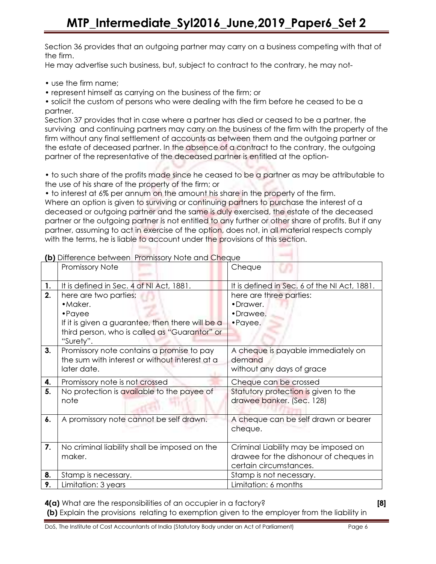Section 36 provides that an outgoing partner may carry on a business competing with that of the firm.

He may advertise such business, but, subject to contract to the contrary, he may not-

• use the firm name;

• represent himself as carrying on the business of the firm; or

• solicit the custom of persons who were dealing with the firm before he ceased to be a partner.

Section 37 provides that in case where a partner has died or ceased to be a partner, the surviving and continuing partners may carry on the business of the firm with the property of the firm without any final settlement of accounts as between them and the outgoing partner or the estate of deceased partner. In the absence of a contract to the contrary, the outgoing partner of the representative of the deceased partner is entitled at the option-

• to such share of the profits made since he ceased to be a partner as may be attributable to the use of his share of the property of the firm; or

• to interest at 6% per annum on the amount his share in the property of the firm. Where an option is given to surviving or continuing partners to purchase the interest of a deceased or outgoing partner and the same is duly exercised, the estate of the deceased partner or the outgoing partner is not entitled to any further or other share of profits. But if any partner, assuming to act in exercise of the option, does not, in all material respects comply with the terms, he is liable to account under the provisions of this section.

|    | <b>Promissory Note</b>                                                                                                                                  | Cheque                                                                                                   |
|----|---------------------------------------------------------------------------------------------------------------------------------------------------------|----------------------------------------------------------------------------------------------------------|
| 1. | It is defined in Sec. 4 of NI Act, 1881.                                                                                                                | It is defined in Sec. 6 of the NI Act, 1881.                                                             |
| 2. | here are two parties;<br>• Maker.<br>$\cdot$ Payee<br>If it is given a guarantee, then there will be a<br>third person, who is called as "Guarantor" or | here are three parties:<br>•Drawer.<br>•Drawee.<br>$\cdot$ Payee.                                        |
|    | "Surety".                                                                                                                                               |                                                                                                          |
| 3. | Promissory note contains a promise to pay<br>the sum with interest or without interest at a<br>later date.                                              | A cheque is payable immediately on<br>demand<br>without any days of grace                                |
|    |                                                                                                                                                         |                                                                                                          |
| 4. | Promissory note is not crossed                                                                                                                          | Cheque can be crossed                                                                                    |
| 5. | No protection is available to the payee of<br>note                                                                                                      | Statutory protection is given to the<br>drawee banker. (Sec. 128)                                        |
| 6. | A promissory note cannot be self drawn.                                                                                                                 | A cheque can be self drawn or bearer<br>cheque.                                                          |
| 7. | No criminal liability shall be imposed on the<br>maker.                                                                                                 | Criminal Liability may be imposed on<br>drawee for the dishonour of cheques in<br>certain circumstances. |
| 8. | Stamp is necessary.                                                                                                                                     | Stamp is not necessary.                                                                                  |

(b) Difference between Promissory Note and Cheque

4(a) What are the responsibilities of an occupier in a factory? [8]

(b) Explain the provisions relating to exemption given to the employer from the liability in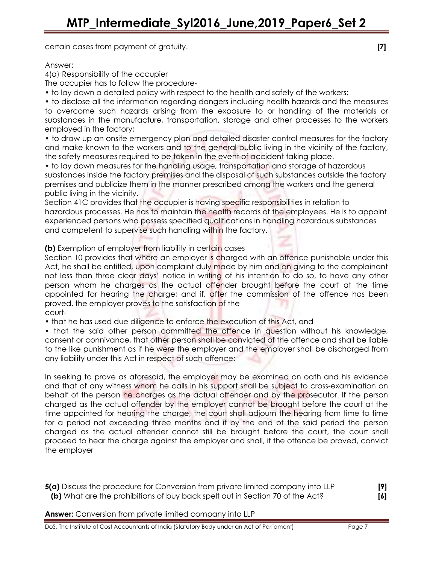certain cases from payment of gratuity. **[7]** Containers and the containers of the containers of the containers of  $[7]$ 

Answer:

4(a) Responsibility of the occupier

The occupier has to follow the procedure-

• to lay down a detailed policy with respect to the health and safety of the workers;

• to disclose all the information regarding dangers including health hazards and the measures to overcome such hazards arising from the exposure to or handling of the materials or substances in the manufacture, transportation, storage and other processes to the workers employed in the factory;

• to draw up an onsite emergency plan and detailed disaster control measures for the factory and make known to the workers and to the general public living in the vicinity of the factory, the safety measures required to be taken in the event of accident taking place.

• to lay down measures for the handling usage, transportation and storage of hazardous substances inside the factory premises and the disposal of such substances outside the factory premises and publicize them in the manner prescribed among the workers and the general public living in the vicinity.

Section 41C provides that the occupier is having specific responsibilities in relation to hazardous processes. He has to maintain the health records of the employees. He is to appoint experienced persons who possess specified qualifications in handling hazardous substances and competent to supervise such handling within the factory.

(b) Exemption of employer from liability in certain cases

Section 10 provides that where an employer is charged with an offence punishable under this Act, he shall be entitled, upon complaint duly made by him and on giving to the complainant not less than three clear days' notice in writing of his intention to do so, to have any other person whom he charges as the actual offender brought before the court at the time appointed for hearing the charge; and if, after the commission of the offence has been proved, the employer proves to the satisfaction of the court-

• that he has used due diligence to enforce the execution of this Act, and

• that the said other person committed the offence in question without his knowledge, consent or connivance, that other person shall be convicted of the offence and shall be liable to the like punishment as if he were the employer and the employer shall be discharged from any liability under this Act in respect of such offence;

In seeking to prove as aforesaid, the employer may be examined on oath and his evidence and that of any witness whom he calls in his support shall be subject to cross-examination on behalf of the person he charges as the actual offender and by the prosecutor. If the person charged as the actual offender by the employer cannot be brought before the court at the time appointed for hearing the charge, the court shall adjourn the hearing from time to time for a period not exceeding three months and if by the end of the said period the person charged as the actual offender cannot still be brought before the court, the court shall proceed to hear the charge against the employer and shall, if the offence be proved, convict the employer

**5(a)** Discuss the procedure for Conversion from private limited company into LLP [9] (b) What are the prohibitions of buy back spelt out in Section 70 of the Act? [6]

**Answer:** Conversion from private limited company into LLP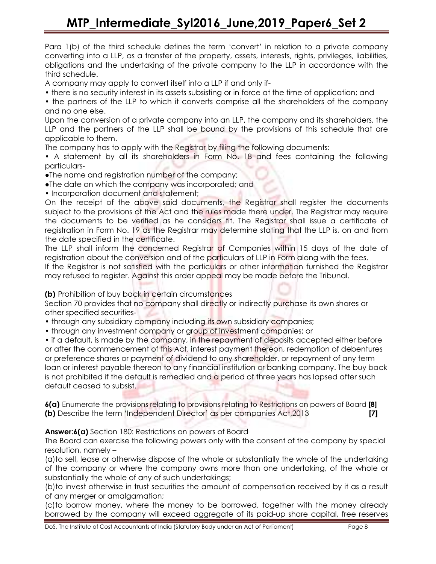Para 1(b) of the third schedule defines the term 'convert' in relation to a private company converting into a LLP, as a transfer of the property, assets, interests, rights, privileges, liabilities, obligations and the undertaking of the private company to the LLP in accordance with the third schedule.

A company may apply to convert itself into a LLP if and only if-

- there is no security interest in its assets subsisting or in force at the time of application; and
- the partners of the LLP to which it converts comprise all the shareholders of the company and no one else.

Upon the conversion of a private company into an LLP, the company and its shareholders, the LLP and the partners of the LLP shall be bound by the provisions of this schedule that are applicable to them.

The company has to apply with the Registrar by filing the following documents:

• A statement by all its shareholders in Form No. 18 and fees containing the following particulars-

- ●The name and registration number of the company;
- ●The date on which the company was incorporated; and
- Incorporation document and statement;

On the receipt of the above said documents, the Registrar shall register the documents subject to the provisions of the Act and the rules made there under. The Registrar may require the documents to be verified as he considers fit. The Registrar shall issue a certificate of registration in Form No. 19 as the Registrar may determine stating that the LLP is, on and from the date specified in the certificate.

The LLP shall inform the concerned Registrar of Companies within 15 days of the date of registration about the conversion and of the particulars of LLP in Form along with the fees.

If the Registrar is not satisfied with the particulars or other information furnished the Registrar may refused to register. Against this order appeal may be made before the Tribunal.

## (b) Prohibition of buy back in certain circumstances

Section 70 provides that no company shall directly or indirectly purchase its own shares or other specified securities-

- through any subsidiary company including its own subsidiary companies;
- through any investment company or group of investment companies; or

• if a default, is made by the company, in the repayment of deposits accepted either before or after the commencement of this Act, interest payment thereon, redemption of debentures or preference shares or payment of dividend to any shareholder, or repayment of any term loan or interest payable thereon to any financial institution or banking company. The buy back is not prohibited if the default is remedied and a period of three years has lapsed after such default ceased to subsist.

6(a) Enumerate the provisions relating to provisions relating to Restrictions on powers of Board [8] (b) Describe the term 'Independent Director' as per companies Act,2013 [7]

## Answer: 6(a) Section 180: Restrictions on powers of Board

The Board can exercise the following powers only with the consent of the company by special resolution, namely –

(a)to sell, lease or otherwise dispose of the whole or substantially the whole of the undertaking of the company or where the company owns more than one undertaking, of the whole or substantially the whole of any of such undertakings;

(b)to invest otherwise in trust securities the amount of compensation received by it as a result of any merger or amalgamation;

(c)to borrow money, where the money to be borrowed, together with the money already borrowed by the company will exceed aggregate of its paid-up share capital, free reserves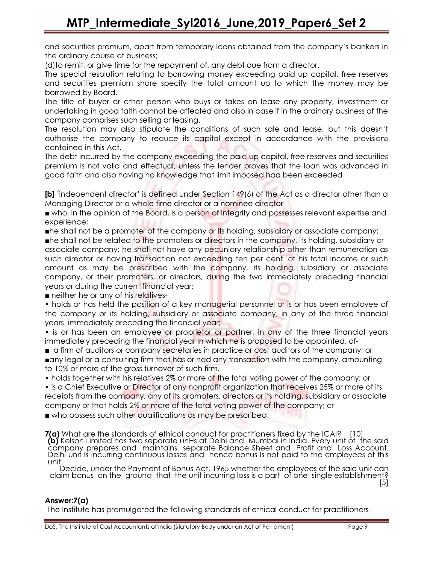and securities premium, apart from temporary loans obtained from the company's bankers in the ordinary course of business;

(d)to remit, or give time for the repayment of, any debt due from a director.

The special resolution relating to borrowing money exceeding paid up capital, free reserves and securities premium share specify the total amount up to which the money may be borrowed by Board.

The title of buyer or other person who buys or takes on lease any property, investment or undertaking in good faith cannot be affected and also in case if in the ordinary business of the company comprises such selling or leasing.

The resolution may also stipulate the conditions of such sale and lease, but this doesn't authorise the company to reduce its capital except in accordance with the provisions contained in this Act.

The debt incurred by the company exceeding the paid up capital, free reserves and securities premium is not valid and effectual, unless the lender proves that the loan was advanced in good faith and also having no knowledge that limit imposed had been exceeded

[b] 'independent director' is defined under Section 149(6) of the Act as a director other than a Managing Director or a whole time director or a nominee director-

■ who, in the opinion of the Board, is a person of integrity and possesses relevant expertise and experience;

■he shall not be a promoter of the company or its holding, subsidiary or associate company;

■he shall not be related to the promoters or directors in the company, its holding, subsidiary or associate company; he shall not have any pecuniary relationship other than remuneration as such director or having transaction not exceeding ten per cent. of his total income or such amount as may be prescribed with the company, its holding, subsidiary or associate company, or their promoters, or directors, during the two immediately preceding financial years or during the current financial year;

■ neither he or any of his relatives-

• holds or has held the position of a key managerial personnel or is or has been employee of the company or its holding, subsidiary or associate company, in any of the three financial years immediately preceding the financial year;

• is or has been an employee or proprietor or partner, in any of the three financial years immediately preceding the financial year in which he is proposed to be appointed, of-

■ a firm of auditors or company secretaries in practice or cost auditors of the company; or ■any legal or a consulting firm that has or had any transaction with the company, amounting to 10% or more of the gross turnover of such firm.

• holds together with his relatives 2% or more of the total voting power of the company; or

• is a Chief Executive or Director of any nonprofit organization that receives 25% or more of its receipts from the company, any of its promoters, directors or its holding, subsidiary or associate company or that holds 2% or more of the total voting power of the company; or

■ who possess such other qualifications as may be prescribed.

7(a) What are the standards of ethical conduct for practitioners fixed by the ICAI? [10] (b) Kelson Limited has two separate unHs at Delhi and Mumbai in India. Every unit of the said company prepares and maintains separate Balance Sheet and Profit and Loss Account. Delhi unit Is Incurring continuous losses and hence bonus Is not paid to the employees of this unit.

Decide, under the Payment of Bonus Act, 1965 whether the employees of the said unit can claim bonus on the ground that the unit incurring loss is a part of one single establishment?

[5]

## Answer:7(a)

The Institute has promulgated the following standards of ethical conduct for practitioners-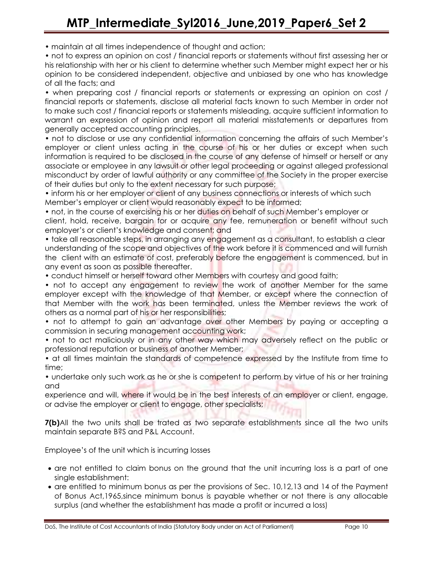• maintain at all times independence of thought and action;

• not to express an opinion on cost / financial reports or statements without first assessing her or his relationship with her or his client to determine whether such Member might expect her or his opinion to be considered independent, objective and unbiased by one who has knowledge of all the facts; and

• when preparing cost / financial reports or statements or expressing an opinion on cost / financial reports or statements, disclose all material facts known to such Member in order not to make such cost / financial reports or statements misleading, acquire sufficient information to warrant an expression of opinion and report all material misstatements or departures from generally accepted accounting principles.

• not to disclose or use any confidential information concerning the affairs of such Member's employer or client unless acting in the course of his or her duties or except when such information is required to be disclosed in the course of any defense of himself or herself or any associate or employee in any lawsuit or other legal proceeding or against alleged professional misconduct by order of lawful authority or any committee of the Society in the proper exercise of their duties but only to the extent necessary for such purpose;

• inform his or her employer or client of any business connections or interests of which such Member's employer or client would reasonably expect to be informed;

• not, in the course of exercising his or her duties on behalf of such Member's employer or client, hold, receive, bargain for or acquire any fee, remuneration or benefit without such employer's or client's knowledge and consent; and

• take all reasonable steps, in arranging any engagement as a consultant, to establish a clear understanding of the scope and objectives of the work before it is commenced and will furnish the client with an estimate of cost, preferably before the engagement is commenced, but in any event as soon as possible thereafter.

• conduct himself or herself toward other Members with courtesy and good faith;

• not to accept any engagement to review the work of another Member for the same employer except with the knowledge of that Member, or except where the connection of that Member with the work has been terminated, unless the Member reviews the work of others as a normal part of his or her responsibilities;

• not to attempt to gain an advantage over other Members by paying or accepting a commission in securing management accounting work;

• not to act maliciously or in any other way which may adversely reflect on the public or professional reputation or business of another Member;

• at all times maintain the standards of competence expressed by the Institute from time to time;

• undertake only such work as he or she is competent to perform by virtue of his or her training and

experience and will, where it would be in the best interests of an employer or client, engage, or advise the employer or client to engage, other specialists;

**7(b)**All the two units shall be trated as two separate establishments since all the two units maintain separate B?S and P&L Account.

Employee's of the unit which is incurring losses

- are not entitled to claim bonus on the ground that the unit incurring loss is a part of one single establishment:
- are entitled to minimum bonus as per the provisions of Sec. 10,12,13 and 14 of the Payment of Bonus Act,1965,since minimum bonus is payable whether or not there is any allocable surplus (and whether the establishment has made a profit or incurred a loss)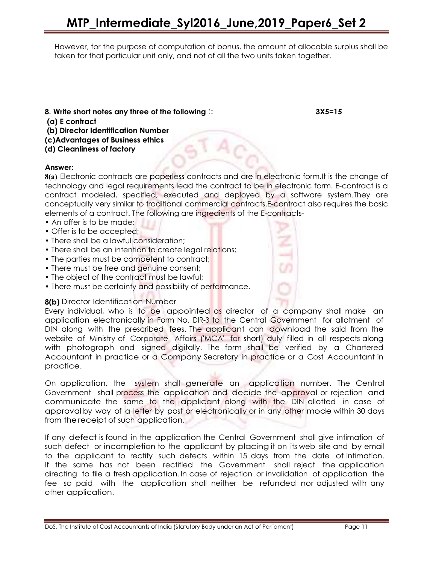However, for the purpose of computation of bonus, the amount of allocable surplus shall be taken for that particular unit only, and not of all the two units taken together.

8. Write short notes any three of the following :: 3X5=15

- (a) E contract
- (b) Director Identification Number
- (c)Advantages of Business ethics
- (d) Cleanliness of factory

#### Answer:

8(a) Electronic contracts are paperless contracts and are in electronic form.It is the change of technology and legal requirements lead the contract to be in electronic form. E-contract is a contract modeled, specified, executed and deployed by a software system.They are conceptually very similar to traditional commercial contracts.E-contract also requires the basic elements of a contract. The following are ingredients of the E-contracts-

- An offer is to be made;
- Offer is to be accepted;
- There shall be a lawful consideration;
- There shall be an intention to create legal relations;
- The parties must be competent to contract;
- There must be free and genuine consent;
- The object of the contract must be lawful;
- There must be certainty and possibility of performance.

## 8(b) Director Identification Number

Every individual, who is to be appointed as director of a company shall make an application electronically in Form No. DIR-3 to the Central Government for allotment of DIN along with the prescribed fees. The applicant can download the said from the website of Ministry of Corporate Affairs ('MCA' for short) duly filled in all respects along with photograph and signed digitally. The form shall be verified by a Chartered Accountant in practice or a Company Secretary in practice or a Cost Accountant in practice.

On application, the system shall generate an application number. The Central Government shall process the application and decide the approval or rejection and communicate the same to the applicant along with the DIN allotted in case of approval by way of a letter by post or electronically or in any other mode within 30 days from thereceipt of such application.

If any defect is found in the application the Central Government shall give intimation of such defect or incompletion to the applicant by placing it on its web site and by email to the applicant to rectify such defects within 15 days from the date of intimation. If the same has not been rectified the Government shall reject the application directing to file a fresh application. In case of rejection or invalidation of application the fee so paid with the application shall neither be refunded nor adjusted with any other application.